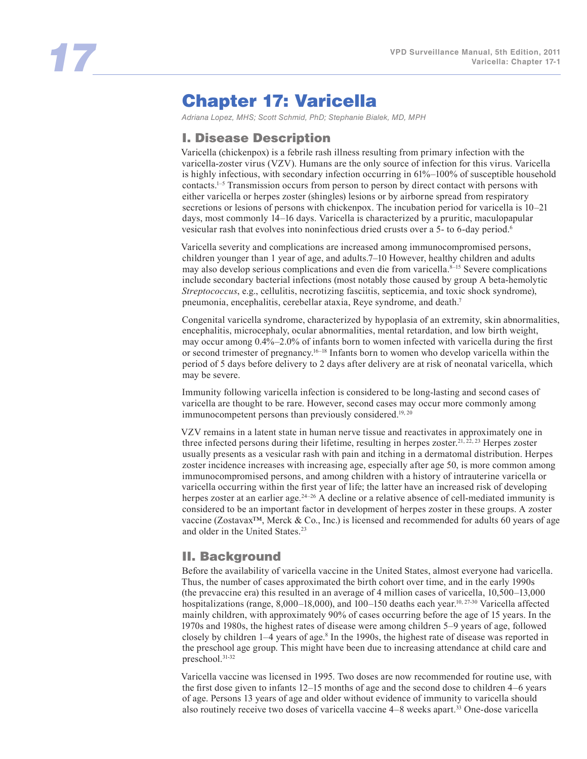# Chapter 17: Varicella

*Adriana Lopez, MHS; Scott Schmid, PhD; Stephanie Bialek, MD, MPH* 

## I. Disease Description

Varicella (chickenpox) is a febrile rash illness resulting from primary infection with the varicella-zoster virus (VZV). Humans are the only source of infection for this virus. Varicella is highly infectious, with secondary infection occurring in 61%–100% of susceptible household contacts.1–5 Transmission occurs from person to person by direct contact with persons with either varicella or herpes zoster (shingles) lesions or by airborne spread from respiratory secretions or lesions of persons with chickenpox. The incubation period for varicella is 10–21 days, most commonly 14–16 days. Varicella is characterized by a pruritic, maculopapular vesicular rash that evolves into noninfectious dried crusts over a 5- to 6-day period.6

Varicella severity and complications are increased among immunocompromised persons, children younger than 1 year of age, and adults.7–10 However, healthy children and adults may also develop serious complications and even die from varicella.<sup>8-15</sup> Severe complications include secondary bacterial infections (most notably those caused by group A beta-hemolytic *Streptococcus*, e.g., cellulitis, necrotizing fasciitis, septicemia, and toxic shock syndrome), pneumonia, encephalitis, cerebellar ataxia, Reye syndrome, and death.7

Congenital varicella syndrome, characterized by hypoplasia of an extremity, skin abnormalities, encephalitis, microcephaly, ocular abnormalities, mental retardation, and low birth weight, may occur among 0.4%–2.0% of infants born to women infected with varicella during the first or second trimester of pregnancy.16–18 Infants born to women who develop varicella within the period of 5 days before delivery to 2 days after delivery are at risk of neonatal varicella, which may be severe.

Immunity following varicella infection is considered to be long-lasting and second cases of varicella are thought to be rare. However, second cases may occur more commonly among immunocompetent persons than previously considered.<sup>19, 20</sup>

VZV remains in a latent state in human nerve tissue and reactivates in approximately one in three infected persons during their lifetime, resulting in herpes zoster.<sup>21, 22, 23</sup> Herpes zoster usually presents as a vesicular rash with pain and itching in a dermatomal distribution. Herpes zoster incidence increases with increasing age, especially after age 50, is more common among immunocompromised persons, and among children with a history of intrauterine varicella or varicella occurring within the first year of life; the latter have an increased risk of developing herpes zoster at an earlier age.<sup>24–26</sup> A decline or a relative absence of cell-mediated immunity is considered to be an important factor in development of herpes zoster in these groups. A zoster vaccine (Zostavax™, Merck & Co., Inc.) is licensed and recommended for adults 60 years of age and older in the United States.<sup>23</sup>

### II. Background

Before the availability of varicella vaccine in the United States, almost everyone had varicella. Thus, the number of cases approximated the birth cohort over time, and in the early 1990s (the prevaccine era) this resulted in an average of 4 million cases of varicella, 10,500–13,000 hospitalizations (range, 8,000-18,000), and 100-150 deaths each year.<sup>10, 27-30</sup> Varicella affected mainly children, with approximately 90% of cases occurring before the age of 15 years. In the 1970s and 1980s, the highest rates of disease were among children 5–9 years of age, followed closely by children 1–4 years of age.<sup>8</sup> In the 1990s, the highest rate of disease was reported in the preschool age group. This might have been due to increasing attendance at child care and preschool.31-32

Varicella vaccine was licensed in 1995. Two doses are now recommended for routine use, with the first dose given to infants 12–15 months of age and the second dose to children 4–6 years of age. Persons 13 years of age and older without evidence of immunity to varicella should also routinely receive two doses of varicella vaccine 4–8 weeks apart.33 One-dose varicella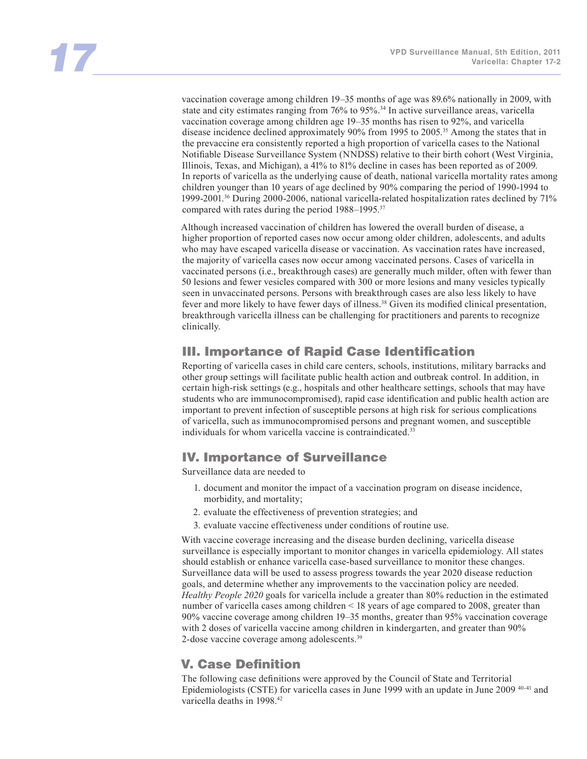vaccination coverage among children 19–35 months of age was 89.6% nationally in 2009, with state and city estimates ranging from 76% to 95%.<sup>34</sup> In active surveillance areas, varicella vaccination coverage among children age 19–35 months has risen to 92%, and varicella disease incidence declined approximately 90% from 1995 to 2005.35 Among the states that in the prevaccine era consistently reported a high proportion of varicella cases to the National Notifiable Disease Surveillance System (NNDSS) relative to their birth cohort (West Virginia, Illinois, Texas, and Michigan), a 41% to 81% decline in cases has been reported as of 2009. In reports of varicella as the underlying cause of death, national varicella mortality rates among children younger than 10 years of age declined by 90% comparing the period of 1990-1994 to 1999-2001.36 During 2000-2006, national varicella-related hospitalization rates declined by 71% compared with rates during the period 1988–1995.<sup>37</sup>

Although increased vaccination of children has lowered the overall burden of disease, a higher proportion of reported cases now occur among older children, adolescents, and adults who may have escaped varicella disease or vaccination. As vaccination rates have increased, the majority of varicella cases now occur among vaccinated persons. Cases of varicella in vaccinated persons (i.e., breakthrough cases) are generally much milder, often with fewer than 50 lesions and fewer vesicles compared with 300 or more lesions and many vesicles typically seen in unvaccinated persons. Persons with breakthrough cases are also less likely to have fever and more likely to have fewer days of illness.38 Given its modified clinical presentation, breakthrough varicella illness can be challenging for practitioners and parents to recognize clinically.

# III. Importance of Rapid Case Identification

Reporting of varicella cases in child care centers, schools, institutions, military barracks and other group settings will facilitate public health action and outbreak control. In addition, in certain high-risk settings (e.g., hospitals and other healthcare settings, schools that may have students who are immunocompromised), rapid case identification and public health action are important to prevent infection of susceptible persons at high risk for serious complications of varicella, such as immunocompromised persons and pregnant women, and susceptible individuals for whom varicella vaccine is contraindicated.<sup>33</sup>

### IV. Importance of Surveillance

Surveillance data are needed to

- 1. document and monitor the impact of a vaccination program on disease incidence, morbidity, and mortality;
- 2. evaluate the effectiveness of prevention strategies; and
- 3. evaluate vaccine effectiveness under conditions of routine use.

With vaccine coverage increasing and the disease burden declining, varicella disease surveillance is especially important to monitor changes in varicella epidemiology. All states should establish or enhance varicella case-based surveillance to monitor these changes. Surveillance data will be used to assess progress towards the year 2020 disease reduction goals, and determine whether any improvements to the vaccination policy are needed. *Healthy People 2020* goals for varicella include a greater than 80% reduction in the estimated number of varicella cases among children < 18 years of age compared to 2008, greater than 90% vaccine coverage among children 19–35 months, greater than 95% vaccination coverage with 2 doses of varicella vaccine among children in kindergarten, and greater than 90% 2-dose vaccine coverage among adolescents.<sup>39</sup>

# V. Case Definition

The following case definitions were approved by the Council of State and Territorial Epidemiologists (CSTE) for varicella cases in June 1999 with an update in June 2009 40-41 and varicella deaths in 1998.42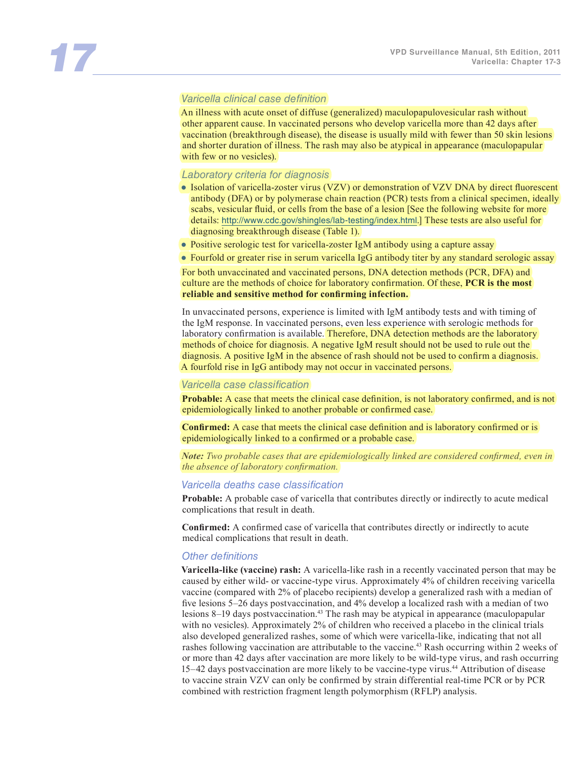#### *Varicella clinical case definition*

An illness with acute onset of diffuse (generalized) maculopapulovesicular rash without other apparent cause. In vaccinated persons who develop varicella more than 42 days after vaccination (breakthrough disease), the disease is usually mild with fewer than 50 skin lesions and shorter duration of illness. The rash may also be atypical in appearance (maculopapular with few or no vesicles).

#### *Laboratory criteria for diagnosis*

- Isolation of varicella-zoster virus (VZV) or demonstration of VZV DNA by direct fluorescent antibody (DFA) or by polymerase chain reaction (PCR) tests from a clinical specimen, ideally scabs, vesicular fluid, or cells from the base of a lesion [See the following website for more details: http://www.cdc.gov/shingles/lab-testing/index.html.] These tests are also useful for diagnosing breakthrough disease (Table 1).
- Positive serologic test for varicella-zoster IgM antibody using a capture assay
- Fourfold or greater rise in serum varicella IgG antibody titer by any standard serologic assay

For both unvaccinated and vaccinated persons, DNA detection methods (PCR, DFA) and culture are the methods of choice for laboratory confirmation. Of these, **PCR is the most reliable and sensitive method for confirming infection.**

In unvaccinated persons, experience is limited with IgM antibody tests and with timing of the IgM response. In vaccinated persons, even less experience with serologic methods for laboratory confirmation is available. Therefore, DNA detection methods are the laboratory methods of choice for diagnosis. A negative IgM result should not be used to rule out the diagnosis. A positive IgM in the absence of rash should not be used to confirm a diagnosis. A fourfold rise in IgG antibody may not occur in vaccinated persons.

#### *Varicella case classification*

**Probable:** A case that meets the clinical case definition, is not laboratory confirmed, and is not epidemiologically linked to another probable or confirmed case.

**Confirmed:** A case that meets the clinical case definition and is laboratory confirmed or is epidemiologically linked to a confirmed or a probable case.

*Note: Two probable cases that are epidemiologically linked are considered confirmed, even in the absence of laboratory confirmation.*

#### *Varicella deaths case classification*

**Probable:** A probable case of varicella that contributes directly or indirectly to acute medical complications that result in death.

**Confirmed:** A confirmed case of varicella that contributes directly or indirectly to acute medical complications that result in death.

#### *Other definitions*

**Varicella-like (vaccine) rash:** A varicella-like rash in a recently vaccinated person that may be caused by either wild- or vaccine-type virus. Approximately 4% of children receiving varicella vaccine (compared with 2% of placebo recipients) develop a generalized rash with a median of five lesions 5–26 days postvaccination, and 4% develop a localized rash with a median of two lesions 8–19 days postvaccination.43 The rash may be atypical in appearance (maculopapular with no vesicles). Approximately 2% of children who received a placebo in the clinical trials also developed generalized rashes, some of which were varicella-like, indicating that not all rashes following vaccination are attributable to the vaccine.43 Rash occurring within 2 weeks of or more than 42 days after vaccination are more likely to be wild-type virus, and rash occurring 15–42 days postvaccination are more likely to be vaccine-type virus.44 Attribution of disease to vaccine strain VZV can only be confirmed by strain differential real-time PCR or by PCR combined with restriction fragment length polymorphism (RFLP) analysis.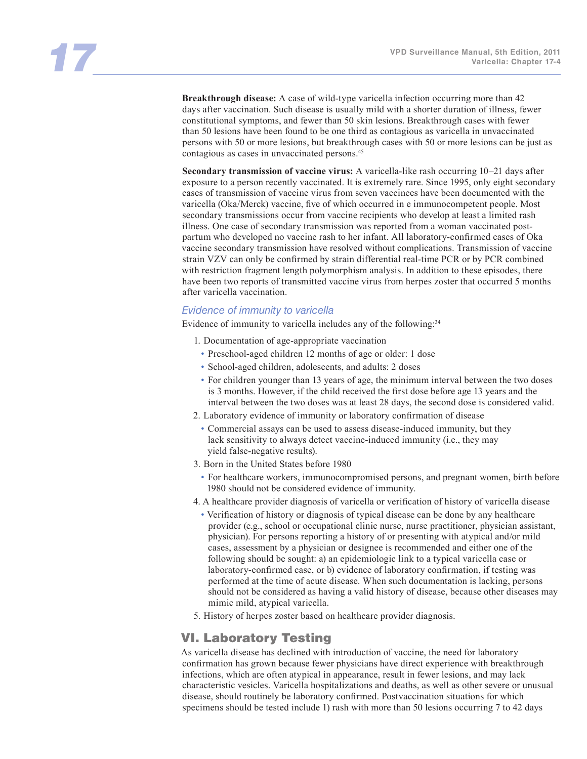**Breakthrough disease:** A case of wild-type varicella infection occurring more than 42 days after vaccination. Such disease is usually mild with a shorter duration of illness, fewer constitutional symptoms, and fewer than 50 skin lesions. Breakthrough cases with fewer than 50 lesions have been found to be one third as contagious as varicella in unvaccinated persons with 50 or more lesions, but breakthrough cases with 50 or more lesions can be just as contagious as cases in unvaccinated persons.45

**Secondary transmission of vaccine virus:** A varicella-like rash occurring 10–21 days after exposure to a person recently vaccinated. It is extremely rare. Since 1995, only eight secondary cases of transmission of vaccine virus from seven vaccinees have been documented with the varicella (Oka/Merck) vaccine, five of which occurred in e immunocompetent people. Most secondary transmissions occur from vaccine recipients who develop at least a limited rash illness. One case of secondary transmission was reported from a woman vaccinated postpartum who developed no vaccine rash to her infant. All laboratory-confirmed cases of Oka vaccine secondary transmission have resolved without complications. Transmission of vaccine strain VZV can only be confirmed by strain differential real-time PCR or by PCR combined with restriction fragment length polymorphism analysis. In addition to these episodes, there have been two reports of transmitted vaccine virus from herpes zoster that occurred 5 months after varicella vaccination.

#### *Evidence of immunity to varicella*

Evidence of immunity to varicella includes any of the following:<sup>34</sup>

- 1. Documentation of age-appropriate vaccination
- Preschool-aged children 12 months of age or older: 1 dose
- School-aged children, adolescents, and adults: 2 doses
- For children younger than 13 years of age, the minimum interval between the two doses is 3 months. However, if the child received the first dose before age 13 years and the interval between the two doses was at least 28 days, the second dose is considered valid.
- 2. Laboratory evidence of immunity or laboratory confirmation of disease
	- Commercial assays can be used to assess disease-induced immunity, but they lack sensitivity to always detect vaccine-induced immunity (i.e., they may yield false-negative results).
- 3. Born in the United States before 1980
	- For healthcare workers, immunocompromised persons, and pregnant women, birth before 1980 should not be considered evidence of immunity.
- 4. A healthcare provider diagnosis of varicella or verification of history of varicella disease
- Verification of history or diagnosis of typical disease can be done by any healthcare provider (e.g., school or occupational clinic nurse, nurse practitioner, physician assistant, physician). For persons reporting a history of or presenting with atypical and/or mild cases, assessment by a physician or designee is recommended and either one of the following should be sought: a) an epidemiologic link to a typical varicella case or laboratory-confirmed case, or b) evidence of laboratory confirmation, if testing was performed at the time of acute disease. When such documentation is lacking, persons should not be considered as having a valid history of disease, because other diseases may mimic mild, atypical varicella.
- 5. History of herpes zoster based on healthcare provider diagnosis.

### VI. Laboratory Testing

As varicella disease has declined with introduction of vaccine, the need for laboratory confirmation has grown because fewer physicians have direct experience with breakthrough infections, which are often atypical in appearance, result in fewer lesions, and may lack characteristic vesicles. Varicella hospitalizations and deaths, as well as other severe or unusual disease, should routinely be laboratory confirmed. Postvaccination situations for which specimens should be tested include 1) rash with more than 50 lesions occurring 7 to 42 days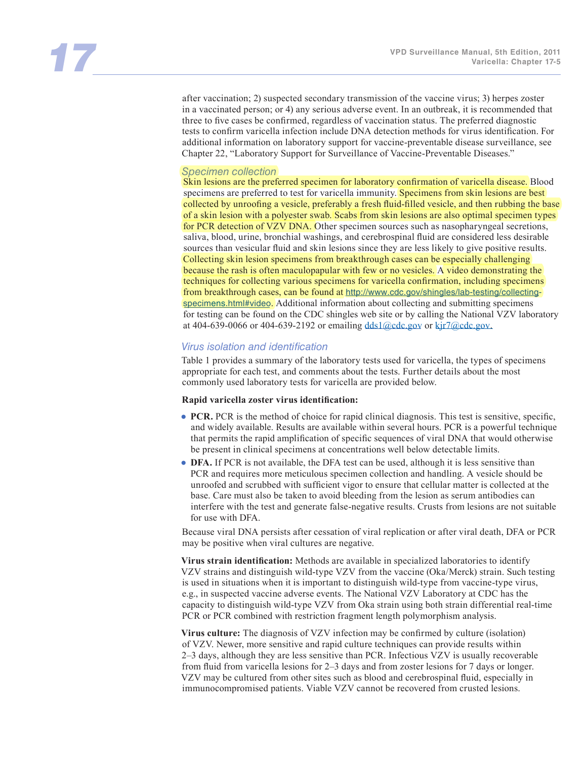after vaccination; 2) suspected secondary transmission of the vaccine virus; 3) herpes zoster in a vaccinated person; or 4) any serious adverse event. In an outbreak, it is recommended that three to five cases be confirmed, regardless of vaccination status. The preferred diagnostic tests to confirm varicella infection include DNA detection methods for virus identification. For additional information on laboratory support for vaccine-preventable disease surveillance, see Chapter 22, "Laboratory Support for Surveillance of Vaccine-Preventable Diseases."

#### *Specimen collection*

Skin lesions are the preferred specimen for laboratory confirmation of varicella disease. Blood specimens are preferred to test for varicella immunity. Specimens from skin lesions are best collected by unroofing a vesicle, preferably a fresh fluid-filled vesicle, and then rubbing the base of a skin lesion with a polyester swab. Scabs from skin lesions are also optimal specimen types for PCR detection of VZV DNA. Other specimen sources such as nasopharyngeal secretions, saliva, blood, urine, bronchial washings, and cerebrospinal fluid are considered less desirable sources than vesicular fluid and skin lesions since they are less likely to give positive results. Collecting skin lesion specimens from breakthrough cases can be especially challenging because the rash is often maculopapular with few or no vesicles. A video demonstrating the techniques for collecting various specimens for varicella confirmation, including specimens from breakthrough cases, can be found at http://www.cdc.gov/shingles/lab-testing/collectingspecimens.html#video. Additional information about collecting and submitting specimens for testing can be found on the CDC shingles web site or by calling the National VZV laboratory at 404-639-0066 or 404-639-2192 or emailing  $\frac{ds1}{\omega}$ cdc.gov or kjr7 $\omega$ cdc.gov.

#### *Virus isolation and identification*

Table 1 provides a summary of the laboratory tests used for varicella, the types of specimens appropriate for each test, and comments about the tests. Further details about the most commonly used laboratory tests for varicella are provided below.

#### **Rapid varicella zoster virus identification:**

- **PCR.** PCR is the method of choice for rapid clinical diagnosis. This test is sensitive, specific, and widely available. Results are available within several hours. PCR is a powerful technique that permits the rapid amplification of specific sequences of viral DNA that would otherwise be present in clinical specimens at concentrations well below detectable limits.
- **DFA.** If PCR is not available, the DFA test can be used, although it is less sensitive than PCR and requires more meticulous specimen collection and handling. A vesicle should be unroofed and scrubbed with sufficient vigor to ensure that cellular matter is collected at the base. Care must also be taken to avoid bleeding from the lesion as serum antibodies can interfere with the test and generate false-negative results. Crusts from lesions are not suitable for use with DFA.

Because viral DNA persists after cessation of viral replication or after viral death, DFA or PCR may be positive when viral cultures are negative.

**Virus strain identification:** Methods are available in specialized laboratories to identify VZV strains and distinguish wild-type VZV from the vaccine (Oka/Merck) strain. Such testing is used in situations when it is important to distinguish wild-type from vaccine-type virus, e.g., in suspected vaccine adverse events. The National VZV Laboratory at CDC has the capacity to distinguish wild-type VZV from Oka strain using both strain differential real-time PCR or PCR combined with restriction fragment length polymorphism analysis.

**Virus culture:** The diagnosis of VZV infection may be confirmed by culture (isolation) of VZV. Newer, more sensitive and rapid culture techniques can provide results within 2–3 days, although they are less sensitive than PCR. Infectious VZV is usually recoverable from fluid from varicella lesions for 2–3 days and from zoster lesions for 7 days or longer. VZV may be cultured from other sites such as blood and cerebrospinal fluid, especially in immunocompromised patients. Viable VZV cannot be recovered from crusted lesions.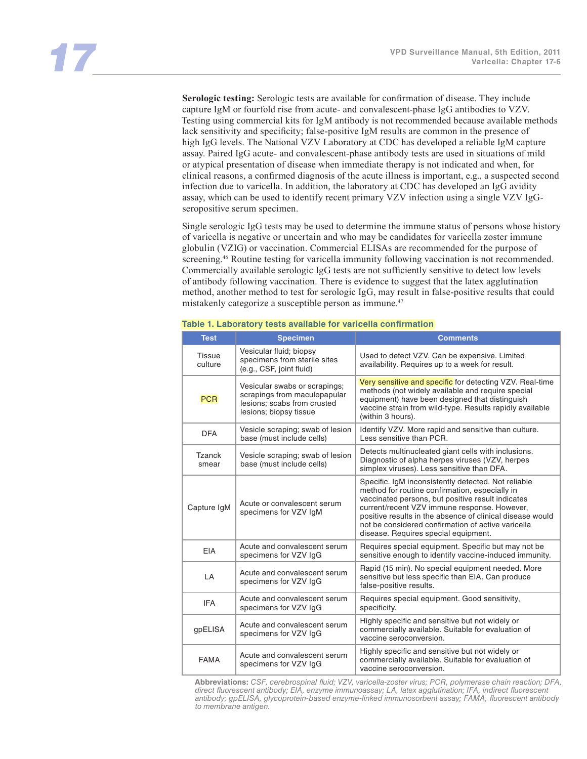**Serologic testing:** Serologic tests are available for confirmation of disease. They include capture IgM or fourfold rise from acute- and convalescent-phase IgG antibodies to VZV. Testing using commercial kits for IgM antibody is not recommended because available methods lack sensitivity and specificity; false-positive IgM results are common in the presence of high IgG levels. The National VZV Laboratory at CDC has developed a reliable IgM capture assay. Paired IgG acute- and convalescent-phase antibody tests are used in situations of mild or atypical presentation of disease when immediate therapy is not indicated and when, for clinical reasons, a confirmed diagnosis of the acute illness is important, e.g., a suspected second infection due to varicella. In addition, the laboratory at CDC has developed an IgG avidity assay, which can be used to identify recent primary VZV infection using a single VZV IgGseropositive serum specimen.

Single serologic IgG tests may be used to determine the immune status of persons whose history of varicella is negative or uncertain and who may be candidates for varicella zoster immune globulin (VZIG) or vaccination. Commercial ELISAs are recommended for the purpose of screening.<sup>46</sup> Routine testing for varicella immunity following vaccination is not recommended. Commercially available serologic IgG tests are not sufficiently sensitive to detect low levels of antibody following vaccination. There is evidence to suggest that the latex agglutination method, another method to test for serologic IgG, may result in false-positive results that could mistakenly categorize a susceptible person as immune.47

| <b>Test</b>              | <b>Specimen</b>                                                                                                        | <b>Comments</b>                                                                                                                                                                                                                                                                                                                                                       |
|--------------------------|------------------------------------------------------------------------------------------------------------------------|-----------------------------------------------------------------------------------------------------------------------------------------------------------------------------------------------------------------------------------------------------------------------------------------------------------------------------------------------------------------------|
| <b>Tissue</b><br>culture | Vesicular fluid; biopsy<br>specimens from sterile sites<br>(e.g., CSF, joint fluid)                                    | Used to detect VZV. Can be expensive. Limited<br>availability. Requires up to a week for result.                                                                                                                                                                                                                                                                      |
| <b>PCR</b>               | Vesicular swabs or scrapings;<br>scrapings from maculopapular<br>lesions; scabs from crusted<br>lesions; biopsy tissue | Very sensitive and specific for detecting VZV. Real-time<br>methods (not widely available and require special<br>equipment) have been designed that distinguish<br>vaccine strain from wild-type. Results rapidly available<br>(within 3 hours).                                                                                                                      |
| <b>DFA</b>               | Vesicle scraping; swab of lesion<br>base (must include cells)                                                          | Identify VZV. More rapid and sensitive than culture.<br>Less sensitive than PCR.                                                                                                                                                                                                                                                                                      |
| Tzanck<br>smear          | Vesicle scraping; swab of lesion<br>base (must include cells)                                                          | Detects multinucleated giant cells with inclusions.<br>Diagnostic of alpha herpes viruses (VZV, herpes<br>simplex viruses). Less sensitive than DFA.                                                                                                                                                                                                                  |
| Capture IgM              | Acute or convalescent serum<br>specimens for VZV IgM                                                                   | Specific. IgM inconsistently detected. Not reliable<br>method for routine confirmation, especially in<br>vaccinated persons, but positive result indicates<br>current/recent VZV immune response. However,<br>positive results in the absence of clinical disease would<br>not be considered confirmation of active varicella<br>disease. Requires special equipment. |
| <b>EIA</b>               | Acute and convalescent serum<br>specimens for VZV IgG                                                                  | Requires special equipment. Specific but may not be<br>sensitive enough to identify vaccine-induced immunity.                                                                                                                                                                                                                                                         |
| LA                       | Acute and convalescent serum<br>specimens for VZV IgG                                                                  | Rapid (15 min). No special equipment needed. More<br>sensitive but less specific than EIA. Can produce<br>false-positive results.                                                                                                                                                                                                                                     |
| <b>IFA</b>               | Acute and convalescent serum<br>specimens for VZV IgG                                                                  | Requires special equipment. Good sensitivity,<br>specificity.                                                                                                                                                                                                                                                                                                         |
| gpELISA                  | Acute and convalescent serum<br>specimens for VZV IgG                                                                  | Highly specific and sensitive but not widely or<br>commercially available. Suitable for evaluation of<br>vaccine seroconversion.                                                                                                                                                                                                                                      |
| <b>FAMA</b>              | Acute and convalescent serum<br>specimens for VZV IgG                                                                  | Highly specific and sensitive but not widely or<br>commercially available. Suitable for evaluation of<br>vaccine seroconversion.                                                                                                                                                                                                                                      |

#### **Table 1. Laboratory tests available for varicella confirmation**

**Abbreviations:** *CSF, cerebrospinal fluid; VZV, varicella-zoster virus; PCR, polymerase chain reaction; DFA, direct fluorescent antibody; EIA, enzyme immunoassay; LA, latex agglutination; IFA, indirect fluorescent antibody; gpELISA, glycoprotein-based enzyme-linked immunosorbent assay; FAMA, fluorescent antibody to membrane antigen.*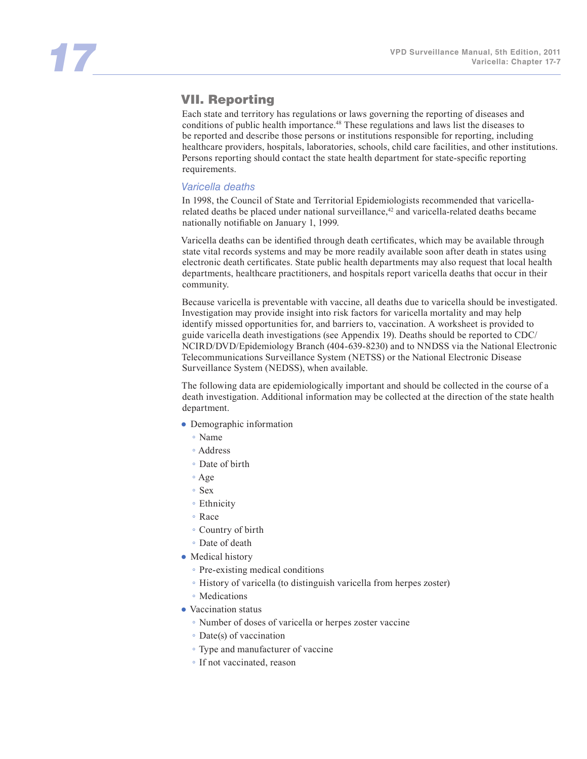# VII. Reporting

Each state and territory has regulations or laws governing the reporting of diseases and conditions of public health importance.48 These regulations and laws list the diseases to be reported and describe those persons or institutions responsible for reporting, including healthcare providers, hospitals, laboratories, schools, child care facilities, and other institutions. Persons reporting should contact the state health department for state-specific reporting requirements.

#### *Varicella deaths*

In 1998, the Council of State and Territorial Epidemiologists recommended that varicellarelated deaths be placed under national surveillance,<sup>42</sup> and varicella-related deaths became nationally notifiable on January 1, 1999.

Varicella deaths can be identified through death certificates, which may be available through state vital records systems and may be more readily available soon after death in states using electronic death certificates. State public health departments may also request that local health departments, healthcare practitioners, and hospitals report varicella deaths that occur in their community.

Because varicella is preventable with vaccine, all deaths due to varicella should be investigated. Investigation may provide insight into risk factors for varicella mortality and may help identify missed opportunities for, and barriers to, vaccination. A worksheet is provided to guide varicella death investigations (see Appendix 19). Deaths should be reported to CDC/ NCIRD/DVD/Epidemiology Branch (404-639-8230) and to NNDSS via the National Electronic Telecommunications Surveillance System (NETSS) or the National Electronic Disease Surveillance System (NEDSS), when available.

The following data are epidemiologically important and should be collected in the course of a death investigation. Additional information may be collected at the direction of the state health department.

- Demographic information
	- Name
	- Address
	- Date of birth
	- Age
	- Sex
	- Ethnicity
	- Race
	- Country of birth
	- Date of death
- Medical history
	- Pre-existing medical conditions
	- History of varicella (to distinguish varicella from herpes zoster)
	- Medications
- Vaccination status
	- Number of doses of varicella or herpes zoster vaccine
	- Date(s) of vaccination
	- Type and manufacturer of vaccine
	- If not vaccinated, reason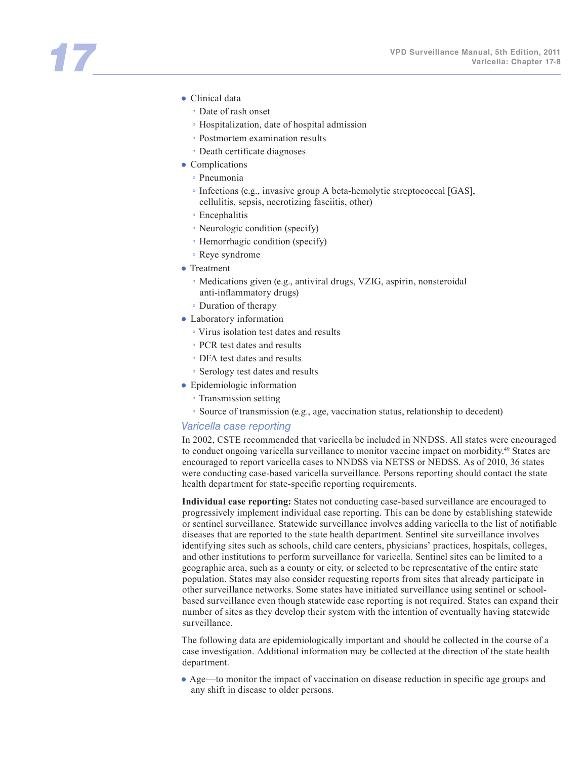- Clinical data
	- Date of rash onset
	- Hospitalization, date of hospital admission
	- Postmortem examination results
	- Death certificate diagnoses
- Complications
	- Pneumonia
	- Infections (e.g., invasive group A beta-hemolytic streptococcal [GAS], cellulitis, sepsis, necrotizing fasciitis, other)
	- Encephalitis
	- Neurologic condition (specify)
	- Hemorrhagic condition (specify)
	- Reye syndrome
- Treatment
	- Medications given (e.g., antiviral drugs, VZIG, aspirin, nonsteroidal anti-inflammatory drugs)
	- Duration of therapy
- Laboratory information
	- Virus isolation test dates and results
	- PCR test dates and results
	- DFA test dates and results
	- Serology test dates and results
- Epidemiologic information
	- Transmission setting
	- Source of transmission (e.g., age, vaccination status, relationship to decedent)

#### *Varicella case reporting*

In 2002, CSTE recommended that varicella be included in NNDSS. All states were encouraged to conduct ongoing varicella surveillance to monitor vaccine impact on morbidity.<sup>49</sup> States are encouraged to report varicella cases to NNDSS via NETSS or NEDSS. As of 2010, 36 states were conducting case-based varicella surveillance. Persons reporting should contact the state health department for state-specific reporting requirements.

**Individual case reporting:** States not conducting case-based surveillance are encouraged to progressively implement individual case reporting. This can be done by establishing statewide or sentinel surveillance. Statewide surveillance involves adding varicella to the list of notifiable diseases that are reported to the state health department. Sentinel site surveillance involves identifying sites such as schools, child care centers, physicians' practices, hospitals, colleges, and other institutions to perform surveillance for varicella. Sentinel sites can be limited to a geographic area, such as a county or city, or selected to be representative of the entire state population. States may also consider requesting reports from sites that already participate in other surveillance networks. Some states have initiated surveillance using sentinel or schoolbased surveillance even though statewide case reporting is not required. States can expand their number of sites as they develop their system with the intention of eventually having statewide surveillance.

The following data are epidemiologically important and should be collected in the course of a case investigation. Additional information may be collected at the direction of the state health department.

● Age—to monitor the impact of vaccination on disease reduction in specific age groups and any shift in disease to older persons.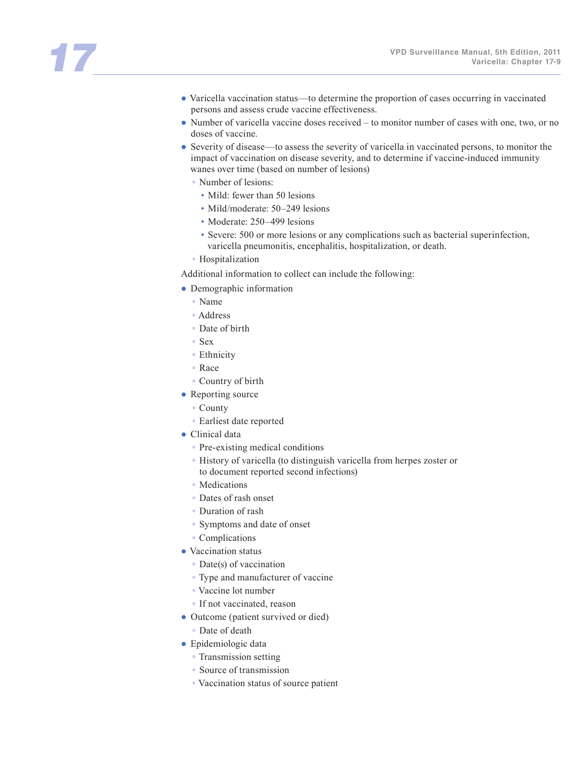- Varicella vaccination status—to determine the proportion of cases occurring in vaccinated persons and assess crude vaccine effectiveness.
- Number of varicella vaccine doses received to monitor number of cases with one, two, or no doses of vaccine.
- Severity of disease—to assess the severity of varicella in vaccinated persons, to monitor the impact of vaccination on disease severity, and to determine if vaccine-induced immunity wanes over time (based on number of lesions)
	- Number of lesions:
		- Mild: fewer than 50 lesions
		- Mild/moderate: 50–249 lesions
		- Moderate: 250–499 lesions
		- Severe: 500 or more lesions or any complications such as bacterial superinfection, varicella pneumonitis, encephalitis, hospitalization, or death.
	- Hospitalization

Additional information to collect can include the following:

- Demographic information
	- Name
	- Address
	- Date of birth
	- Sex
	- Ethnicity
	- Race
	- Country of birth
- Reporting source
	- County
	- Earliest date reported
- Clinical data
	- Pre-existing medical conditions
	- History of varicella (to distinguish varicella from herpes zoster or
	- to document reported second infections)
	- Medications
	- Dates of rash onset
	- Duration of rash
	- Symptoms and date of onset
	- Complications
- Vaccination status
	- Date(s) of vaccination
	- Type and manufacturer of vaccine
	- Vaccine lot number
	- If not vaccinated, reason
- Outcome (patient survived or died)
	- Date of death
- Epidemiologic data
	- Transmission setting
	- Source of transmission
	- Vaccination status of source patient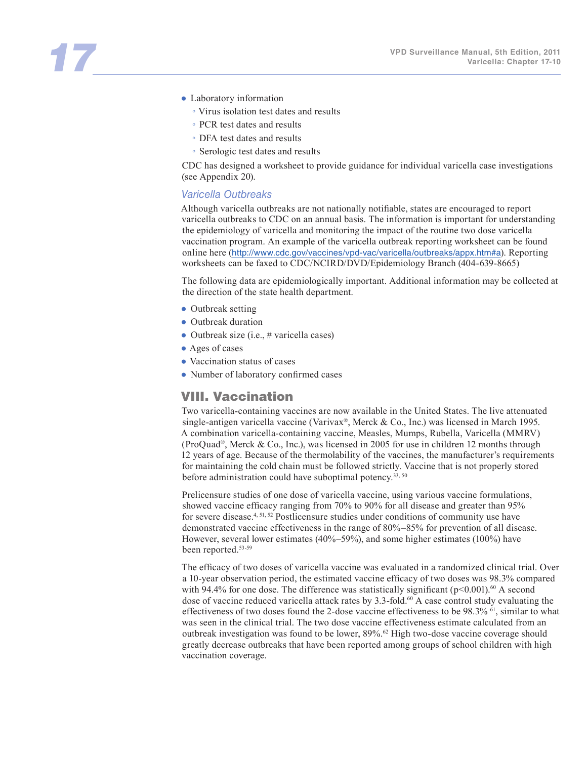- Laboratory information
	- Virus isolation test dates and results
	- PCR test dates and results
	- DFA test dates and results
	- Serologic test dates and results

CDC has designed a worksheet to provide guidance for individual varicella case investigations (see Appendix 20).

#### *Varicella Outbreaks*

Although varicella outbreaks are not nationally notifiable, states are encouraged to report varicella outbreaks to CDC on an annual basis. The information is important for understanding the epidemiology of varicella and monitoring the impact of the routine two dose varicella vaccination program. An example of the varicella outbreak reporting worksheet can be found online here (http://www.cdc.gov/vaccines/vpd-vac/varicella/outbreaks/appx.htm#a). Reporting worksheets can be faxed to CDC/NCIRD/DVD/Epidemiology Branch (404-639-8665)

The following data are epidemiologically important. Additional information may be collected at the direction of the state health department.

- Outbreak setting
- Outbreak duration
- Outbreak size (i.e., # varicella cases)
- Ages of cases
- Vaccination status of cases
- Number of laboratory confirmed cases

#### VIII. Vaccination

Two varicella-containing vaccines are now available in the United States. The live attenuated single-antigen varicella vaccine (Varivax®, Merck & Co., Inc.) was licensed in March 1995. A combination varicella-containing vaccine, Measles, Mumps, Rubella, Varicella (MMRV) (ProQuad®, Merck & Co., Inc.), was licensed in 2005 for use in children 12 months through 12 years of age. Because of the thermolability of the vaccines, the manufacturer's requirements for maintaining the cold chain must be followed strictly. Vaccine that is not properly stored before administration could have suboptimal potency.<sup>33, 50</sup>

Prelicensure studies of one dose of varicella vaccine, using various vaccine formulations, showed vaccine efficacy ranging from 70% to 90% for all disease and greater than 95% for severe disease.4, 51, 52 Postlicensure studies under conditions of community use have demonstrated vaccine effectiveness in the range of 80%–85% for prevention of all disease. However, several lower estimates (40%–59%), and some higher estimates (100%) have been reported.<sup>53-59</sup>

The efficacy of two doses of varicella vaccine was evaluated in a randomized clinical trial. Over a 10-year observation period, the estimated vaccine efficacy of two doses was 98.3% compared with 94.4% for one dose. The difference was statistically significant ( $p<0.001$ ).<sup>60</sup> A second dose of vaccine reduced varicella attack rates by 3.3-fold.<sup>60</sup> A case control study evaluating the effectiveness of two doses found the 2-dose vaccine effectiveness to be 98.3%  $61$ , similar to what was seen in the clinical trial. The two dose vaccine effectiveness estimate calculated from an outbreak investigation was found to be lower, 89%.<sup>62</sup> High two-dose vaccine coverage should greatly decrease outbreaks that have been reported among groups of school children with high vaccination coverage.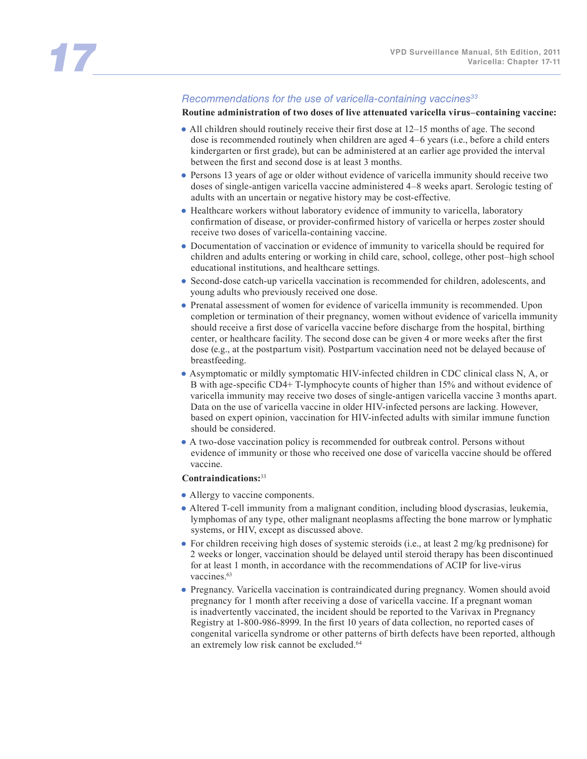#### *Recommendations for the use of varicella-containing vaccines33*

**Routine administration of two doses of live attenuated varicella virus–containing vaccine:** 

- All children should routinely receive their first dose at 12–15 months of age. The second dose is recommended routinely when children are aged 4–6 years (i.e., before a child enters kindergarten or first grade), but can be administered at an earlier age provided the interval between the first and second dose is at least 3 months.
- Persons 13 years of age or older without evidence of varicella immunity should receive two doses of single-antigen varicella vaccine administered 4–8 weeks apart. Serologic testing of adults with an uncertain or negative history may be cost-effective.
- Healthcare workers without laboratory evidence of immunity to varicella, laboratory confirmation of disease, or provider-confirmed history of varicella or herpes zoster should receive two doses of varicella-containing vaccine.
- Documentation of vaccination or evidence of immunity to varicella should be required for children and adults entering or working in child care, school, college, other post–high school educational institutions, and healthcare settings.
- Second-dose catch-up varicella vaccination is recommended for children, adolescents, and young adults who previously received one dose.
- Prenatal assessment of women for evidence of varicella immunity is recommended. Upon completion or termination of their pregnancy, women without evidence of varicella immunity should receive a first dose of varicella vaccine before discharge from the hospital, birthing center, or healthcare facility. The second dose can be given 4 or more weeks after the first dose (e.g., at the postpartum visit). Postpartum vaccination need not be delayed because of breastfeeding.
- Asymptomatic or mildly symptomatic HIV-infected children in CDC clinical class N, A, or B with age-specific CD4+ T-lymphocyte counts of higher than 15% and without evidence of varicella immunity may receive two doses of single-antigen varicella vaccine 3 months apart. Data on the use of varicella vaccine in older HIV-infected persons are lacking. However, based on expert opinion, vaccination for HIV-infected adults with similar immune function should be considered.
- A two-dose vaccination policy is recommended for outbreak control. Persons without evidence of immunity or those who received one dose of varicella vaccine should be offered vaccine.

#### **Contraindications:**<sup>33</sup>

- Allergy to vaccine components.
- Altered T-cell immunity from a malignant condition, including blood dyscrasias, leukemia, lymphomas of any type, other malignant neoplasms affecting the bone marrow or lymphatic systems, or HIV, except as discussed above.
- For children receiving high doses of systemic steroids (i.e., at least 2 mg/kg prednisone) for 2 weeks or longer, vaccination should be delayed until steroid therapy has been discontinued for at least 1 month, in accordance with the recommendations of ACIP for live-virus vaccines.<sup>63</sup>
- Pregnancy. Varicella vaccination is contraindicated during pregnancy. Women should avoid pregnancy for 1 month after receiving a dose of varicella vaccine. If a pregnant woman is inadvertently vaccinated, the incident should be reported to the Varivax in Pregnancy Registry at 1-800-986-8999. In the first 10 years of data collection, no reported cases of congenital varicella syndrome or other patterns of birth defects have been reported, although an extremely low risk cannot be excluded.<sup>64</sup>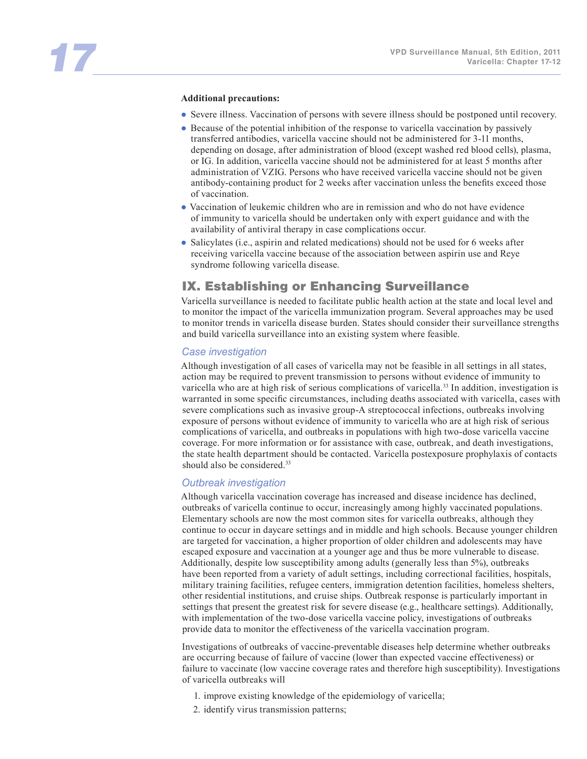#### **Additional precautions:**

- Severe illness. Vaccination of persons with severe illness should be postponed until recovery.
- Because of the potential inhibition of the response to varicella vaccination by passively transferred antibodies, varicella vaccine should not be administered for 3-11 months, depending on dosage, after administration of blood (except washed red blood cells), plasma, or IG. In addition, varicella vaccine should not be administered for at least 5 months after administration of VZIG. Persons who have received varicella vaccine should not be given antibody-containing product for 2 weeks after vaccination unless the benefits exceed those of vaccination.
- Vaccination of leukemic children who are in remission and who do not have evidence of immunity to varicella should be undertaken only with expert guidance and with the availability of antiviral therapy in case complications occur.
- Salicylates (i.e., aspirin and related medications) should not be used for 6 weeks after receiving varicella vaccine because of the association between aspirin use and Reye syndrome following varicella disease.

### IX. Establishing or Enhancing Surveillance

Varicella surveillance is needed to facilitate public health action at the state and local level and to monitor the impact of the varicella immunization program. Several approaches may be used to monitor trends in varicella disease burden. States should consider their surveillance strengths and build varicella surveillance into an existing system where feasible.

#### *Case investigation*

Although investigation of all cases of varicella may not be feasible in all settings in all states, action may be required to prevent transmission to persons without evidence of immunity to varicella who are at high risk of serious complications of varicella.33 In addition, investigation is warranted in some specific circumstances, including deaths associated with varicella, cases with severe complications such as invasive group-A streptococcal infections, outbreaks involving exposure of persons without evidence of immunity to varicella who are at high risk of serious complications of varicella, and outbreaks in populations with high two-dose varicella vaccine coverage. For more information or for assistance with case, outbreak, and death investigations, the state health department should be contacted. Varicella postexposure prophylaxis of contacts should also be considered.<sup>33</sup>

#### *Outbreak investigation*

Although varicella vaccination coverage has increased and disease incidence has declined, outbreaks of varicella continue to occur, increasingly among highly vaccinated populations. Elementary schools are now the most common sites for varicella outbreaks, although they continue to occur in daycare settings and in middle and high schools. Because younger children are targeted for vaccination, a higher proportion of older children and adolescents may have escaped exposure and vaccination at a younger age and thus be more vulnerable to disease. Additionally, despite low susceptibility among adults (generally less than 5%), outbreaks have been reported from a variety of adult settings, including correctional facilities, hospitals, military training facilities, refugee centers, immigration detention facilities, homeless shelters, other residential institutions, and cruise ships. Outbreak response is particularly important in settings that present the greatest risk for severe disease (e.g., healthcare settings). Additionally, with implementation of the two-dose varicella vaccine policy, investigations of outbreaks provide data to monitor the effectiveness of the varicella vaccination program.

Investigations of outbreaks of vaccine-preventable diseases help determine whether outbreaks are occurring because of failure of vaccine (lower than expected vaccine effectiveness) or failure to vaccinate (low vaccine coverage rates and therefore high susceptibility). Investigations of varicella outbreaks will

- 1. improve existing knowledge of the epidemiology of varicella;
- 2. identify virus transmission patterns;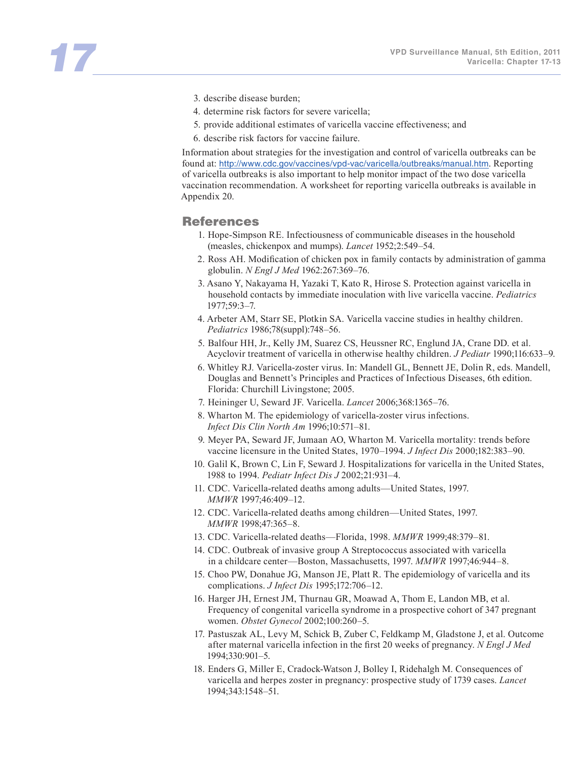- 3. describe disease burden;
- 4. determine risk factors for severe varicella;
- 5. provide additional estimates of varicella vaccine effectiveness; and
- 6. describe risk factors for vaccine failure.

Information about strategies for the investigation and control of varicella outbreaks can be found at: http://www.cdc.gov/vaccines/vpd-vac/varicella/outbreaks/manual.htm. Reporting of varicella outbreaks is also important to help monitor impact of the two dose varicella vaccination recommendation. A worksheet for reporting varicella outbreaks is available in Appendix 20.

#### References

- 1. Hope-Simpson RE. Infectiousness of communicable diseases in the household (measles, chickenpox and mumps). *Lancet* 1952;2:549–54.
- 2. Ross AH. Modification of chicken pox in family contacts by administration of gamma globulin. *N Engl J Med* 1962:267:369–76.
- 3. Asano Y, Nakayama H, Yazaki T, Kato R, Hirose S. Protection against varicella in household contacts by immediate inoculation with live varicella vaccine. *Pediatrics* 1977;59:3–7.
- 4. Arbeter AM, Starr SE, Plotkin SA. Varicella vaccine studies in healthy children. *Pediatrics* 1986;78(suppl):748–56.
- 5. Balfour HH, Jr., Kelly JM, Suarez CS, Heussner RC, Englund JA, Crane DD. et al. Acyclovir treatment of varicella in otherwise healthy children. *J Pediatr* 1990;116:633–9.
- 6. Whitley RJ. Varicella-zoster virus. In: Mandell GL, Bennett JE, Dolin R, eds. Mandell, Douglas and Bennett's Principles and Practices of Infectious Diseases, 6th edition. Florida: Churchill Livingstone; 2005.
- 7. Heininger U, Seward JF. Varicella. *Lancet* 2006;368:1365–76.
- 8. Wharton M. The epidemiology of varicella-zoster virus infections. *Infect Dis Clin North Am* 1996;10:571–81.
- 9. Meyer PA, Seward JF, Jumaan AO, Wharton M. Varicella mortality: trends before vaccine licensure in the United States, 1970–1994. *J Infect Dis* 2000;182:383–90.
- 10. Galil K, Brown C, Lin F, Seward J. Hospitalizations for varicella in the United States, 1988 to 1994. *Pediatr Infect Dis J* 2002;21:931–4.
- 11. CDC. Varicella-related deaths among adults—United States, 1997. *MMWR* 1997;46:409–12.
- 12. CDC. Varicella-related deaths among children—United States, 1997. *MMWR* 1998;47:365–8.
- 13. CDC. Varicella-related deaths—Florida, 1998. *MMWR* 1999;48:379–81.
- 14. CDC. Outbreak of invasive group A Streptococcus associated with varicella in a childcare center—Boston, Massachusetts, 1997. *MMWR* 1997;46:944–8.
- 15. Choo PW, Donahue JG, Manson JE, Platt R. The epidemiology of varicella and its complications. *J Infect Dis* 1995;172:706–12.
- 16. Harger JH, Ernest JM, Thurnau GR, Moawad A, Thom E, Landon MB, et al. Frequency of congenital varicella syndrome in a prospective cohort of 347 pregnant women. *Obstet Gynecol* 2002;100:260–5.
- 17. Pastuszak AL, Levy M, Schick B, Zuber C, Feldkamp M, Gladstone J, et al. Outcome after maternal varicella infection in the first 20 weeks of pregnancy. *N Engl J Med* 1994;330:901–5.
- 18. Enders G, Miller E, Cradock-Watson J, Bolley I, Ridehalgh M. Consequences of varicella and herpes zoster in pregnancy: prospective study of 1739 cases. *Lancet* 1994;343:1548–51.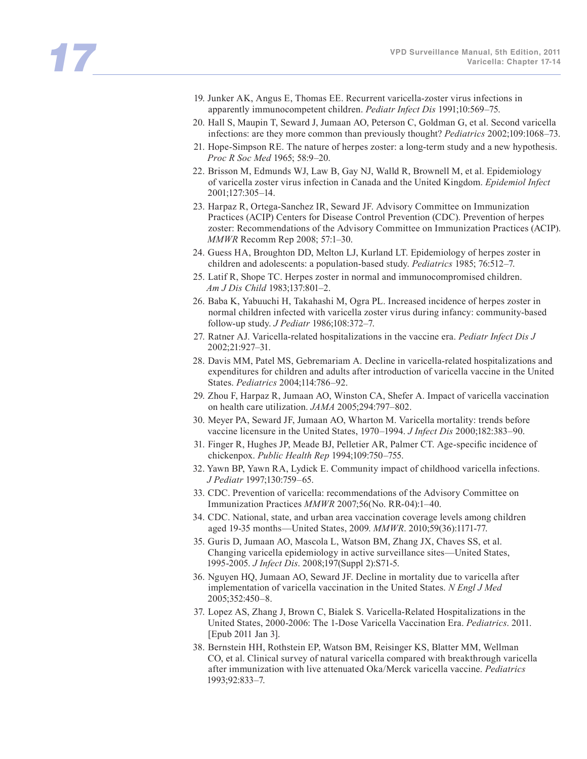- 19. Junker AK, Angus E, Thomas EE. Recurrent varicella-zoster virus infections in apparently immunocompetent children. *Pediatr Infect Dis* 1991;10:569–75.
- 20. Hall S, Maupin T, Seward J, Jumaan AO, Peterson C, Goldman G, et al. Second varicella infections: are they more common than previously thought? *Pediatrics* 2002;109:1068–73.
- 21. Hope-Simpson RE. The nature of herpes zoster: a long-term study and a new hypothesis. *Proc R Soc Med* 1965; 58:9–20.
- 22. Brisson M, Edmunds WJ, Law B, Gay NJ, Walld R, Brownell M, et al. Epidemiology of varicella zoster virus infection in Canada and the United Kingdom. *Epidemiol Infect* 2001;127:305–14.
- 23. Harpaz R, Ortega-Sanchez IR, Seward JF. Advisory Committee on Immunization Practices (ACIP) Centers for Disease Control Prevention (CDC). Prevention of herpes zoster: Recommendations of the Advisory Committee on Immunization Practices (ACIP). *MMWR* Recomm Rep 2008; 57:1–30.
- 24. Guess HA, Broughton DD, Melton LJ, Kurland LT. Epidemiology of herpes zoster in children and adolescents: a population-based study. *Pediatrics* 1985; 76:512–7.
- 25. Latif R, Shope TC. Herpes zoster in normal and immunocompromised children. *Am J Dis Child* 1983;137:801–2.
- 26. Baba K, Yabuuchi H, Takahashi M, Ogra PL. Increased incidence of herpes zoster in normal children infected with varicella zoster virus during infancy: community-based follow-up study. *J Pediatr* 1986;108:372–7.
- 27. Ratner AJ. Varicella-related hospitalizations in the vaccine era. *Pediatr Infect Dis J* 2002;21:927–31.
- 28. Davis MM, Patel MS, Gebremariam A. Decline in varicella-related hospitalizations and expenditures for children and adults after introduction of varicella vaccine in the United States. *Pediatrics* 2004;114:786–92.
- 29. Zhou F, Harpaz R, Jumaan AO, Winston CA, Shefer A. Impact of varicella vaccination on health care utilization. *JAMA* 2005;294:797–802.
- 30. Meyer PA, Seward JF, Jumaan AO, Wharton M. Varicella mortality: trends before vaccine licensure in the United States, 1970–1994. *J Infect Dis* 2000;182:383–90.
- 31. Finger R, Hughes JP, Meade BJ, Pelletier AR, Palmer CT. Age-specific incidence of chickenpox. *Public Health Rep* 1994;109:750–755.
- 32. Yawn BP, Yawn RA, Lydick E. Community impact of childhood varicella infections. *J Pediatr* 1997;130:759–65.
- 33. CDC. Prevention of varicella: recommendations of the Advisory Committee on Immunization Practices *MMWR* 2007;56(No. RR-04):1–40.
- 34. CDC. National, state, and urban area vaccination coverage levels among children aged 19-35 months—United States, 2009. *MMWR*. 2010;59(36):1171-77.
- 35. Guris D, Jumaan AO, Mascola L, Watson BM, Zhang JX, Chaves SS, et al. Changing varicella epidemiology in active surveillance sites—United States, 1995-2005. *J Infect Dis*. 2008;197(Suppl 2):S71-5.
- 36. Nguyen HQ, Jumaan AO, Seward JF. Decline in mortality due to varicella after implementation of varicella vaccination in the United States. *N Engl J Med* 2005;352:450–8.
- 37. Lopez AS, Zhang J, Brown C, Bialek S. Varicella-Related Hospitalizations in the United States, 2000-2006: The 1-Dose Varicella Vaccination Era. *Pediatrics*. 2011. [Epub 2011 Jan 3].
- 38. Bernstein HH, Rothstein EP, Watson BM, Reisinger KS, Blatter MM, Wellman CO, et al. Clinical survey of natural varicella compared with breakthrough varicella after immunization with live attenuated Oka/Merck varicella vaccine. *Pediatrics* 1993;92:833–7.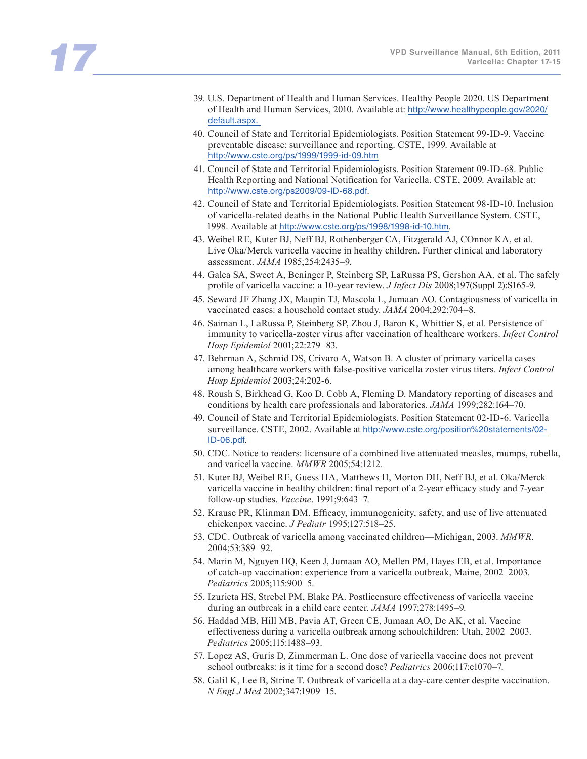- 39. U.S. Department of Health and Human Services. Healthy People 2020. US Department of Health and Human Services, 2010. Available at: http://www.healthypeople.gov/2020/ default.aspx.
- 40. Council of State and Territorial Epidemiologists. Position Statement 99-ID-9. Vaccine preventable disease: surveillance and reporting. CSTE, 1999. Available at http://www.cste.org/ps/1999/1999-id-09.htm
- 41. Council of State and Territorial Epidemiologists. Position Statement 09-ID-68. Public Health Reporting and National Notification for Varicella. CSTE, 2009. Available at: http://www.cste.org/ps2009/09-ID-68.pdf.
- 42. Council of State and Territorial Epidemiologists. Position Statement 98-ID-10. Inclusion of varicella-related deaths in the National Public Health Surveillance System. CSTE, 1998. Available at http://www.cste.org/ps/1998/1998-id-10.htm.
- 43. Weibel RE, Kuter BJ, Neff BJ, Rothenberger CA, Fitzgerald AJ, COnnor KA, et al. Live Oka/Merck varicella vaccine in healthy children. Further clinical and laboratory assessment. *JAMA* 1985;254:2435–9.
- 44. Galea SA, Sweet A, Beninger P, Steinberg SP, LaRussa PS, Gershon AA, et al. The safely profile of varicella vaccine: a 10-year review. *J Infect Dis* 2008;197(Suppl 2):S165-9.
- 45. Seward JF Zhang JX, Maupin TJ, Mascola L, Jumaan AO. Contagiousness of varicella in vaccinated cases: a household contact study. *JAMA* 2004;292:704–8.
- 46. Saiman L, LaRussa P, Steinberg SP, Zhou J, Baron K, Whittier S, et al. Persistence of immunity to varicella-zoster virus after vaccination of healthcare workers. *Infect Control Hosp Epidemiol* 2001;22:279–83.
- 47. Behrman A, Schmid DS, Crivaro A, Watson B. A cluster of primary varicella cases among healthcare workers with false-positive varicella zoster virus titers. *Infect Control Hosp Epidemiol* 2003;24:202-6.
- 48. Roush S, Birkhead G, Koo D, Cobb A, Fleming D. Mandatory reporting of diseases and conditions by health care professionals and laboratories. *JAMA* 1999;282:164–70.
- 49. Council of State and Territorial Epidemiologists. Position Statement 02-ID-6. Varicella surveillance. CSTE, 2002. Available at http://www.cste.org/position%20statements/02- ID-06.pdf.
- 50. CDC. Notice to readers: licensure of a combined live attenuated measles, mumps, rubella, and varicella vaccine. *MMWR* 2005;54:1212.
- 51. Kuter BJ, Weibel RE, Guess HA, Matthews H, Morton DH, Neff BJ, et al. Oka/Merck varicella vaccine in healthy children: final report of a 2-year efficacy study and 7-year follow-up studies. *Vaccine*. 1991;9:643–7.
- 52. Krause PR, Klinman DM. Efficacy, immunogenicity, safety, and use of live attenuated chickenpox vaccine. *J Pediatr* 1995;127:518–25.
- 53. CDC. Outbreak of varicella among vaccinated children—Michigan, 2003. *MMWR*. 2004;53:389–92.
- 54. Marin M, Nguyen HQ, Keen J, Jumaan AO, Mellen PM, Hayes EB, et al. Importance of catch-up vaccination: experience from a varicella outbreak, Maine, 2002–2003. *Pediatrics* 2005;115:900–5.
- 55. Izurieta HS, Strebel PM, Blake PA. Postlicensure effectiveness of varicella vaccine during an outbreak in a child care center. *JAMA* 1997;278:1495–9.
- 56. Haddad MB, Hill MB, Pavia AT, Green CE, Jumaan AO, De AK, et al. Vaccine effectiveness during a varicella outbreak among schoolchildren: Utah, 2002–2003. *Pediatrics* 2005;115:1488–93.
- 57. Lopez AS, Guris D, Zimmerman L. One dose of varicella vaccine does not prevent school outbreaks: is it time for a second dose? *Pediatrics* 2006;117:e1070–7.
- 58. Galil K, Lee B, Strine T. Outbreak of varicella at a day-care center despite vaccination. *N Engl J Med* 2002;347:1909–15.